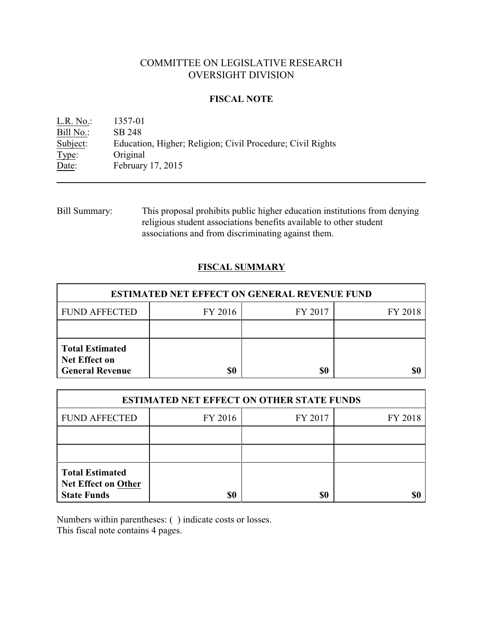# COMMITTEE ON LEGISLATIVE RESEARCH OVERSIGHT DIVISION

### **FISCAL NOTE**

L.R. No.: 1357-01 Bill No.: SB 248 Subject: Education, Higher; Religion; Civil Procedure; Civil Rights Type: Original Date: February 17, 2015

Bill Summary: This proposal prohibits public higher education institutions from denying religious student associations benefits available to other student associations and from discriminating against them.

## **FISCAL SUMMARY**

| <b>ESTIMATED NET EFFECT ON GENERAL REVENUE FUND</b>                      |         |         |         |  |
|--------------------------------------------------------------------------|---------|---------|---------|--|
| <b>FUND AFFECTED</b>                                                     | FY 2016 | FY 2017 | FY 2018 |  |
|                                                                          |         |         |         |  |
| <b>Total Estimated</b><br><b>Net Effect on</b><br><b>General Revenue</b> | \$0     | \$0     |         |  |

| <b>ESTIMATED NET EFFECT ON OTHER STATE FUNDS</b>                           |         |         |         |  |
|----------------------------------------------------------------------------|---------|---------|---------|--|
| <b>FUND AFFECTED</b>                                                       | FY 2016 | FY 2017 | FY 2018 |  |
|                                                                            |         |         |         |  |
|                                                                            |         |         |         |  |
| <b>Total Estimated</b><br><b>Net Effect on Other</b><br><b>State Funds</b> | \$0     | \$0     |         |  |

Numbers within parentheses: ( ) indicate costs or losses.

This fiscal note contains 4 pages.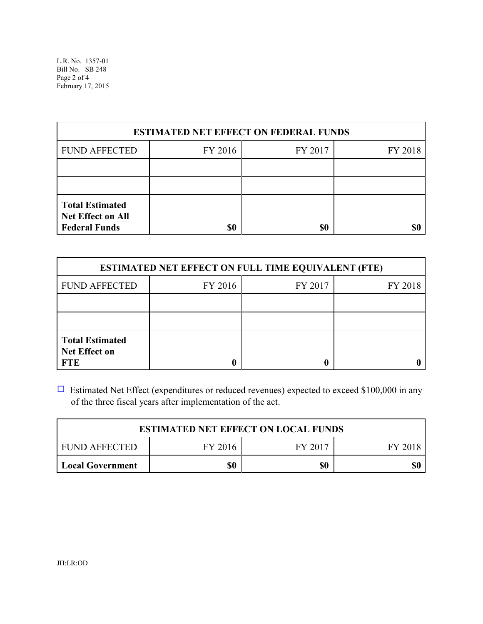| <b>ESTIMATED NET EFFECT ON FEDERAL FUNDS</b>                        |         |         |         |  |
|---------------------------------------------------------------------|---------|---------|---------|--|
| <b>FUND AFFECTED</b>                                                | FY 2016 | FY 2017 | FY 2018 |  |
|                                                                     |         |         |         |  |
|                                                                     |         |         |         |  |
| <b>Total Estimated</b><br>Net Effect on All<br><b>Federal Funds</b> | \$0     | \$0     |         |  |

| <b>ESTIMATED NET EFFECT ON FULL TIME EQUIVALENT (FTE)</b>    |         |         |         |  |
|--------------------------------------------------------------|---------|---------|---------|--|
| <b>FUND AFFECTED</b>                                         | FY 2016 | FY 2017 | FY 2018 |  |
|                                                              |         |         |         |  |
|                                                              |         |         |         |  |
| <b>Total Estimated</b><br><b>Net Effect on</b><br><b>FTE</b> |         |         |         |  |

 $\Box$  Estimated Net Effect (expenditures or reduced revenues) expected to exceed \$100,000 in any of the three fiscal years after implementation of the act.

| <b>ESTIMATED NET EFFECT ON LOCAL FUNDS</b> |         |         |         |  |
|--------------------------------------------|---------|---------|---------|--|
| FUND AFFECTED                              | FY 2016 | FY 2017 | FY 2018 |  |
| <b>Local Government</b>                    | \$0     | \$0     | \$0     |  |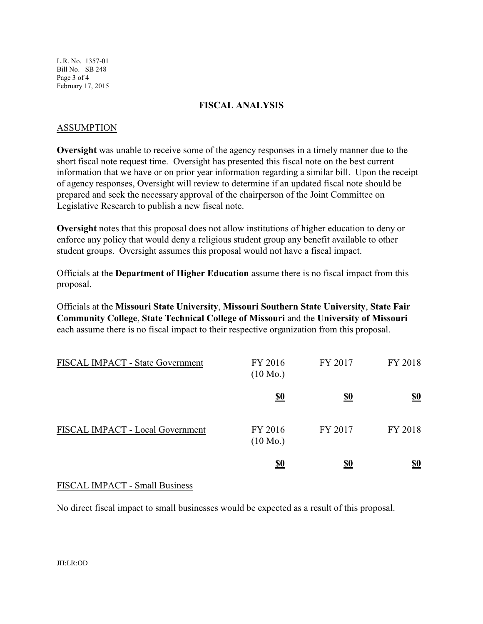L.R. No. 1357-01 Bill No. SB 248 Page 3 of 4 February 17, 2015

### **FISCAL ANALYSIS**

#### ASSUMPTION

**Oversight** was unable to receive some of the agency responses in a timely manner due to the short fiscal note request time. Oversight has presented this fiscal note on the best current information that we have or on prior year information regarding a similar bill. Upon the receipt of agency responses, Oversight will review to determine if an updated fiscal note should be prepared and seek the necessary approval of the chairperson of the Joint Committee on Legislative Research to publish a new fiscal note.

**Oversight** notes that this proposal does not allow institutions of higher education to deny or enforce any policy that would deny a religious student group any benefit available to other student groups. Oversight assumes this proposal would not have a fiscal impact.

Officials at the **Department of Higher Education** assume there is no fiscal impact from this proposal.

Officials at the **Missouri State University**, **Missouri Southern State University**, **State Fair Community College**, **State Technical College of Missouri** and the **University of Missouri** each assume there is no fiscal impact to their respective organization from this proposal.

| <b>FISCAL IMPACT - State Government</b> | FY 2016<br>$(10 \text{ Mo.})$ | FY 2017    | FY 2018                       |
|-----------------------------------------|-------------------------------|------------|-------------------------------|
|                                         | <u>\$0</u>                    | <u>\$0</u> | $\underline{\underline{\$0}}$ |
| FISCAL IMPACT - Local Government        | FY 2016<br>$(10 \text{ Mo.})$ | FY 2017    | FY 2018                       |
|                                         | <u>\$0</u>                    | <u>\$0</u> | <u>\$0</u>                    |

### FISCAL IMPACT - Small Business

No direct fiscal impact to small businesses would be expected as a result of this proposal.